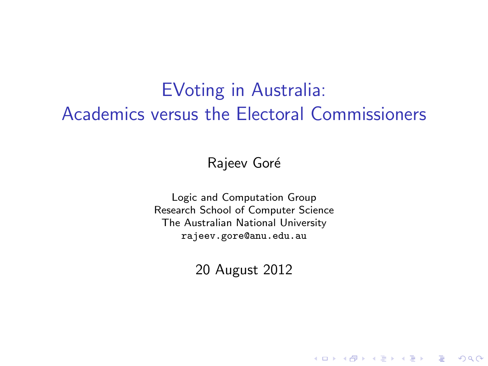# EVoting in Australia: Academics versus the Electoral Commissioners

Rajeev Goré

Logic and Computation Group Research School of Computer Science The Australian National University <rajeev.gore@anu.edu.au>

20 August 2012

**KORK ERKER ADE YOUR**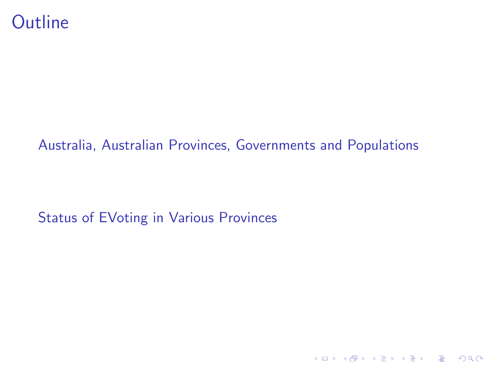#### [Australia, Australian Provinces, Governments and Populations](#page-2-0)

K ロ K K (P) K (E) K (E) X (E) X (P) K (P)

[Status of EVoting in Various Provinces](#page-2-0)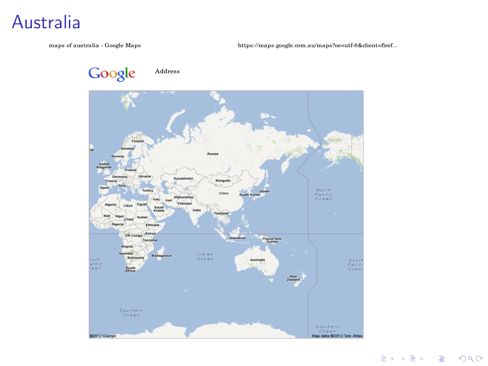#### Australia

maps of australia - Google Maps

https://maps.google.com.au/maps?oe=utf-8&client=firef...

Google Address

<span id="page-2-0"></span>

ミト (ミ) - ミーの女々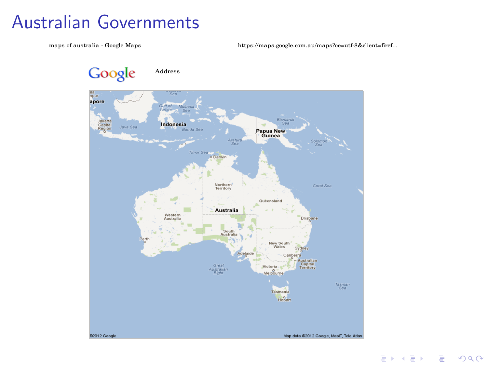## **Australian Governments**

maps of australia - Google Maps

https://maps.google.com.au/maps?oe=utf-8&client=firef...



들 ▶ ㅋ 듣 ▶ │ 듣 │ ⊙ ٩ ⊙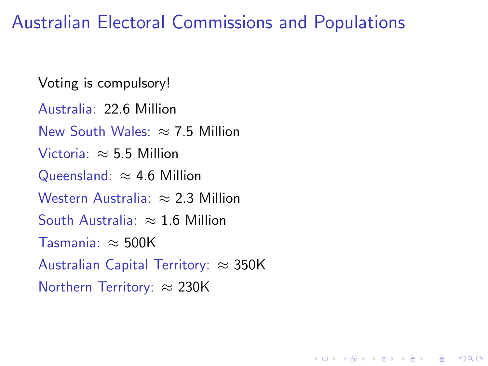Australian Electoral Commissions and Populations

**KORK ERKER ADE YOUR** 

Voting is compulsory!

Australia: 22.6 Million

New South Wales:  $\approx$  7.5 Million

Victoria:  $\approx$  5.5 Million

Queensland:  $\approx$  4.6 Million

Western Australia:  $\approx 2.3$  Million

South Australia:  $\approx 1.6$  Million

Tasmania: ≈ 500K

Australian Capital Territory:  $\approx 350$ K

Northern Territory: ≈ 230K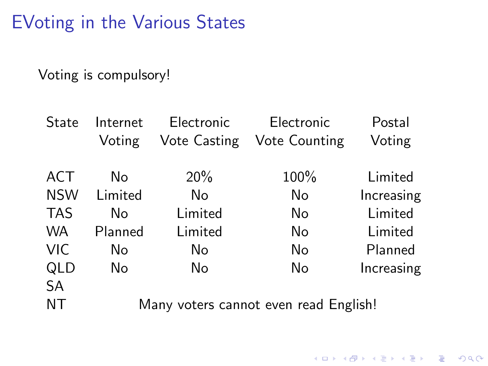EVoting in the Various States

Voting is compulsory!

| State      | Internet                              | Electronic   | Electronic    | Postal     |
|------------|---------------------------------------|--------------|---------------|------------|
|            | Voting                                | Vote Casting | Vote Counting | Voting     |
|            |                                       |              |               |            |
| ACT        | No                                    | 20%          | 100%          | Limited    |
| <b>NSW</b> | Limited                               | No           | No            | Increasing |
| <b>TAS</b> | No                                    | Limited      | No.           | Limited    |
| <b>WA</b>  | Planned                               | Limited      | No            | Limited    |
| <b>VIC</b> | No                                    | No           | No            | Planned    |
| QLD        | No                                    | No           | No            | Increasing |
| <b>SA</b>  |                                       |              |               |            |
| <b>NT</b>  | Many voters cannot even read English! |              |               |            |

K ロ ▶ K @ ▶ K 할 X X 할 X | 할 X 1 9 Q Q ^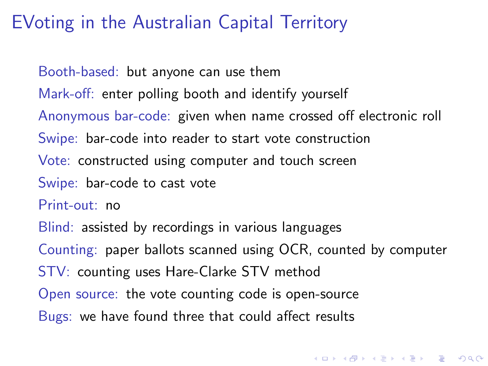## EVoting in the Australian Capital Territory

Booth-based: but anyone can use them

Mark-off: enter polling booth and identify yourself

Anonymous bar-code: given when name crossed off electronic roll

Swipe: bar-code into reader to start vote construction

Vote: constructed using computer and touch screen

Swipe: bar-code to cast vote

Print-out: no

Blind: assisted by recordings in various languages

Counting: paper ballots scanned using OCR, counted by computer

4 D > 4 P + 4 B + 4 B + B + 9 Q O

STV: counting uses Hare-Clarke STV method

Open source: the vote counting code is open-source

Bugs: we have found three that could affect results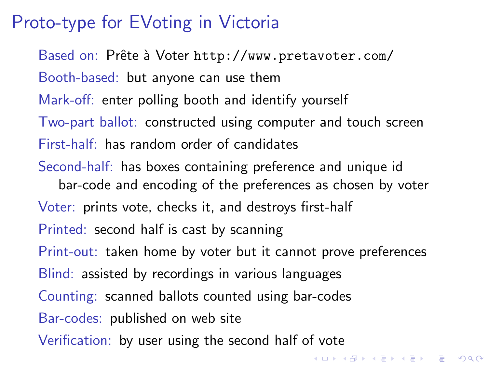## Proto-type for EVoting in Victoria

Based on: Prête à Voter <http://www.pretavoter.com/> Booth-based: but anyone can use them Mark-off: enter polling booth and identify yourself Two-part ballot: constructed using computer and touch screen First-half: has random order of candidates Second-half: has boxes containing preference and unique id bar-code and encoding of the preferences as chosen by voter Voter: prints vote, checks it, and destroys first-half Printed: second half is cast by scanning Print-out: taken home by voter but it cannot prove preferences Blind: assisted by recordings in various languages Counting: scanned ballots counted using bar-codes Bar-codes: published on web site Verification: by user using the second half of vote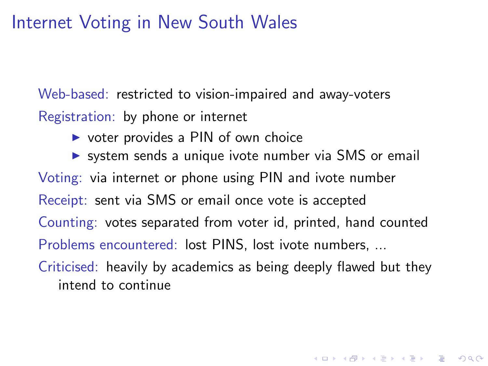## Internet Voting in New South Wales

Web-based: restricted to vision-impaired and away-voters Registration: by phone or internet

 $\triangleright$  voter provides a PIN of own choice

 $\triangleright$  system sends a unique ivote number via SMS or email Voting: via internet or phone using PIN and ivote number Receipt: sent via SMS or email once vote is accepted Counting: votes separated from voter id, printed, hand counted Problems encountered: lost PINS, lost ivote numbers, ...

Criticised: heavily by academics as being deeply flawed but they intend to continue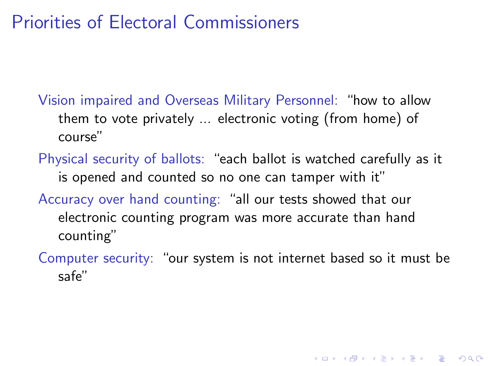## Priorities of Electoral Commissioners

- Vision impaired and Overseas Military Personnel: "how to allow them to vote privately ... electronic voting (from home) of course"
- Physical security of ballots: "each ballot is watched carefully as it is opened and counted so no one can tamper with it"
- Accuracy over hand counting: "all our tests showed that our electronic counting program was more accurate than hand counting"
- Computer security: "our system is not internet based so it must be safe"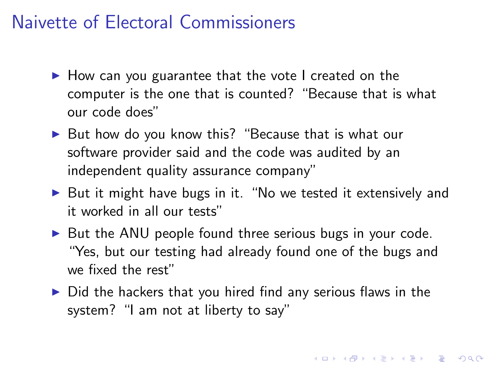## Naivette of Electoral Commissioners

- $\blacktriangleright$  How can you guarantee that the vote I created on the computer is the one that is counted? "Because that is what our code does"
- $\triangleright$  But how do you know this? "Because that is what our software provider said and the code was audited by an independent quality assurance company"
- $\triangleright$  But it might have bugs in it. "No we tested it extensively and it worked in all our tests"
- $\triangleright$  But the ANU people found three serious bugs in your code. "Yes, but our testing had already found one of the bugs and we fixed the rest"
- $\triangleright$  Did the hackers that you hired find any serious flaws in the system? "I am not at liberty to say"